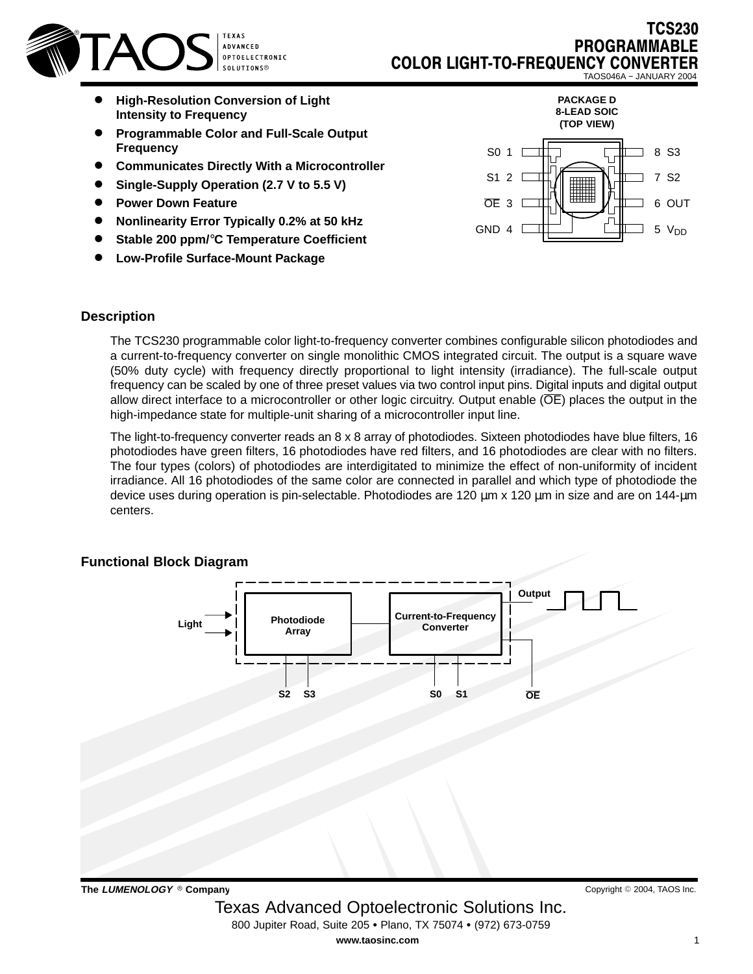

- $\bullet$  **High-Resolution Conversion of Light Intensity to Frequency**
- $\bullet$  **Programmable Color and Full-Scale Output Frequency**
- $\bullet$ **Communicates Directly With a Microcontroller**
- $\bullet$ **Single-Supply Operation (2.7 V to 5.5 V)**
- $\bullet$ **Power Down Feature**
- $\bullet$ **Nonlinearity Error Typically 0.2% at 50 kHz**
- $\bullet$ **Stable 200 ppm/**°**C Temperature Coefficient**
- $\bullet$ **Low-Profile Surface-Mount Package**



TCS230

**PROGRAMM** 

#### **Description**

The TCS230 programmable color light-to-frequency converter combines configurable silicon photodiodes and a current-to-frequency converter on single monolithic CMOS integrated circuit. The output is a square wave (50% duty cycle) with frequency directly proportional to light intensity (irradiance). The full-scale output frequency can be scaled by one of three preset values via two control input pins. Digital inputs and digital output allow direct interface to a microcontroller or other logic circuitry. Output enable (OE) places the output in the high-impedance state for multiple-unit sharing of a microcontroller input line.

The light-to-frequency converter reads an 8 x 8 array of photodiodes. Sixteen photodiodes have blue filters, 16 photodiodes have green filters, 16 photodiodes have red filters, and 16 photodiodes are clear with no filters. The four types (colors) of photodiodes are interdigitated to minimize the effect of non-uniformity of incident irradiance. All 16 photodiodes of the same color are connected in parallel and which type of photodiode the device uses during operation is pin-selectable. Photodiodes are 120 µm x 120 µm in size and are on 144-µm centers.

## **Functional Block Diagram**



**The LUMENOLOGY Company**

 Texas Advanced Optoelectronic Solutions Inc. 800 Jupiter Road, Suite 205 · Plano, TX 75074 · (972) 673-0759 **www.taosinc.com**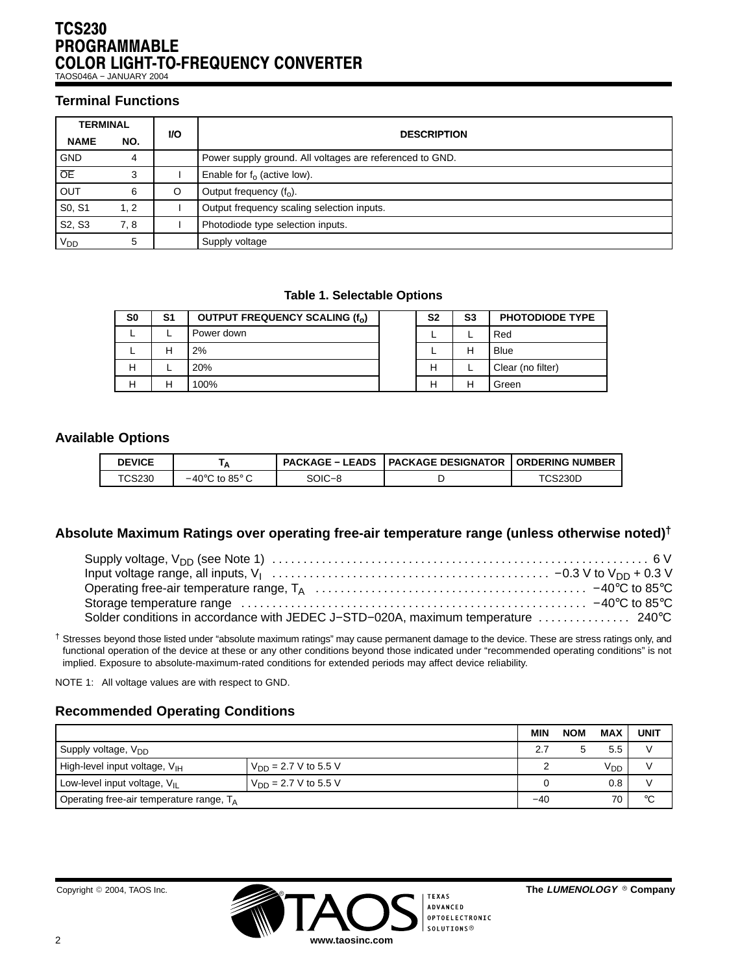### TCS230 PROGRAMMABLE COLOR LIGHT-TO-FREQUENCY CONVERTER TAOS046A − JANUARY 2004

# **Terminal Functions**

| <b>TERMINAL</b> |      |           |                                                          |  |  |  |  |  |  |  |  |
|-----------------|------|-----------|----------------------------------------------------------|--|--|--|--|--|--|--|--|
| <b>NAME</b>     | NO.  | <b>VO</b> | <b>DESCRIPTION</b>                                       |  |  |  |  |  |  |  |  |
| <b>GND</b>      | 4    |           | Power supply ground. All voltages are referenced to GND. |  |  |  |  |  |  |  |  |
| $\overline{OE}$ | 3    |           | Enable for $f_0$ (active low).                           |  |  |  |  |  |  |  |  |
| <b>OUT</b>      | 6    | $\circ$   | Output frequency $(f_0)$ .                               |  |  |  |  |  |  |  |  |
| S0, S1          | 1.2  |           | Output frequency scaling selection inputs.               |  |  |  |  |  |  |  |  |
| S2, S3          | 7, 8 |           | Photodiode type selection inputs.                        |  |  |  |  |  |  |  |  |
| V <sub>DD</sub> | 5    |           | Supply voltage                                           |  |  |  |  |  |  |  |  |

#### **Table 1. Selectable Options**

| S0 | S1 | OUTPUT FREQUENCY SCALING (f <sub>o</sub> ) | S <sub>2</sub> | S3 | <b>PHOTODIODE TYPE</b> |
|----|----|--------------------------------------------|----------------|----|------------------------|
|    |    | Power down                                 |                |    | Red                    |
|    | н  | 2%                                         |                | н  | Blue                   |
|    |    | 20%                                        |                |    | Clear (no filter)      |
|    | н  | 100%                                       |                | Н  | Green                  |

### **Available Options**

| <b>DEVICE</b>      | А                                         |        | <b>PACKAGE – LEADS   PACKAGE DESIGNATOR</b> | <b>I ORDERING NUMBER</b> |
|--------------------|-------------------------------------------|--------|---------------------------------------------|--------------------------|
| <sup>T</sup> CS230 | $-40^{\circ}$ C to 85 $^{\circ}$ C $^{-}$ | SOIC–8 |                                             | TCS230D                  |

## **Absolute Maximum Ratings over operating free-air temperature range (unless otherwise noted)†**

| Solder conditions in accordance with JEDEC J-STD-020A, maximum temperature  240°C |  |
|-----------------------------------------------------------------------------------|--|

† Stresses beyond those listed under "absolute maximum ratings" may cause permanent damage to the device. These are stress ratings only, and functional operation of the device at these or any other conditions beyond those indicated under "recommended operating conditions" is not implied. Exposure to absolute-maximum-rated conditions for extended periods may affect device reliability.

NOTE 1: All voltage values are with respect to GND.

# **Recommended Operating Conditions**

|                                             |                           | <b>MIN</b> | <b>NOM</b> | <b>MAX</b>      | <b>UNIT</b> |
|---------------------------------------------|---------------------------|------------|------------|-----------------|-------------|
| Supply voltage, V <sub>DD</sub>             |                           |            | 5.5        |                 |             |
| High-level input voltage, $V_{\text{IH}}$   | $V_{DD} = 2.7 V$ to 5.5 V |            |            | V <sub>DD</sub> |             |
| Low-level input voltage, $V_{II}$           | $V_{DD} = 2.7 V$ to 5.5 V |            |            | 0.8             |             |
| Operating free-air temperature range, $T_A$ | $-40$                     |            | 70         | °C              |             |

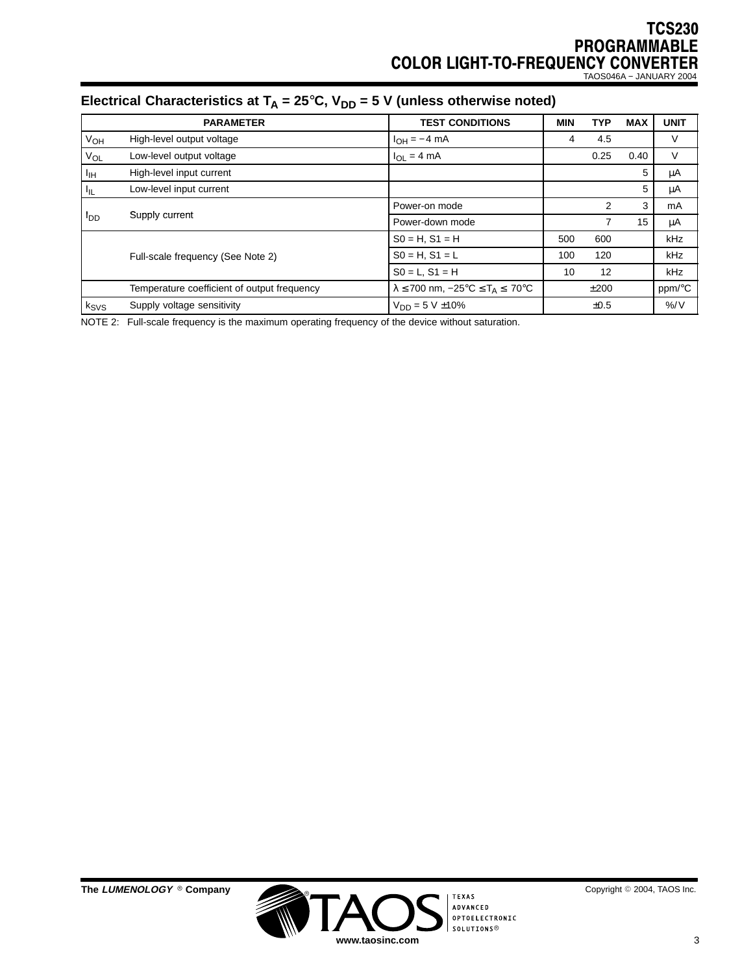TAOS046A − JANUARY 2004

# Electrical Characteristics at  $T_A = 25^\circ \text{C}$ ,  $V_{DD} = 5 \text{ V}$  (unless otherwise noted)

|                 | <b>PARAMETER</b>                            | <b>TEST CONDITIONS</b>                                       | <b>MIN</b> | <b>TYP</b> | <b>MAX</b> | <b>UNIT</b>   |
|-----------------|---------------------------------------------|--------------------------------------------------------------|------------|------------|------------|---------------|
| $V_{OH}$        | High-level output voltage                   | $I_{OH} = -4$ mA                                             |            | 4.5        |            | V             |
| Vol             | Low-level output voltage                    | $I_{\Omega I} = 4 \text{ mA}$                                |            | 0.25       | 0.40       | V             |
| ŀщ              | High-level input current                    |                                                              |            |            | 5          | μA            |
| ŀμ              | Low-level input current                     |                                                              |            |            | 5          | μA            |
|                 |                                             | Power-on mode                                                |            | 2          | 3          | mA            |
| <sup>I</sup> DD | Supply current                              | Power-down mode                                              |            | 7          | 15         | μA            |
|                 |                                             | $SO = H$ , $S1 = H$                                          | 500        | 600        |            | kHz           |
|                 | Full-scale frequency (See Note 2)           | $SO = H$ , $S1 = L$                                          | 100        | 120        |            | <b>kHz</b>    |
|                 |                                             | $SO = L$ , $S1 = H$                                          | 10         | 12         |            | <b>kHz</b>    |
|                 | Temperature coefficient of output frequency | $\lambda \le 700$ nm, $-25^{\circ}C \le T_A \le 70^{\circ}C$ |            | ±200       |            | ppm/°C        |
| $k_{SVS}$       | Supply voltage sensitivity                  | $V_{DD} = 5 V \pm 10\%$                                      |            | ±0.5       |            | $\frac{9}{6}$ |

NOTE 2: Full-scale frequency is the maximum operating frequency of the device without saturation.



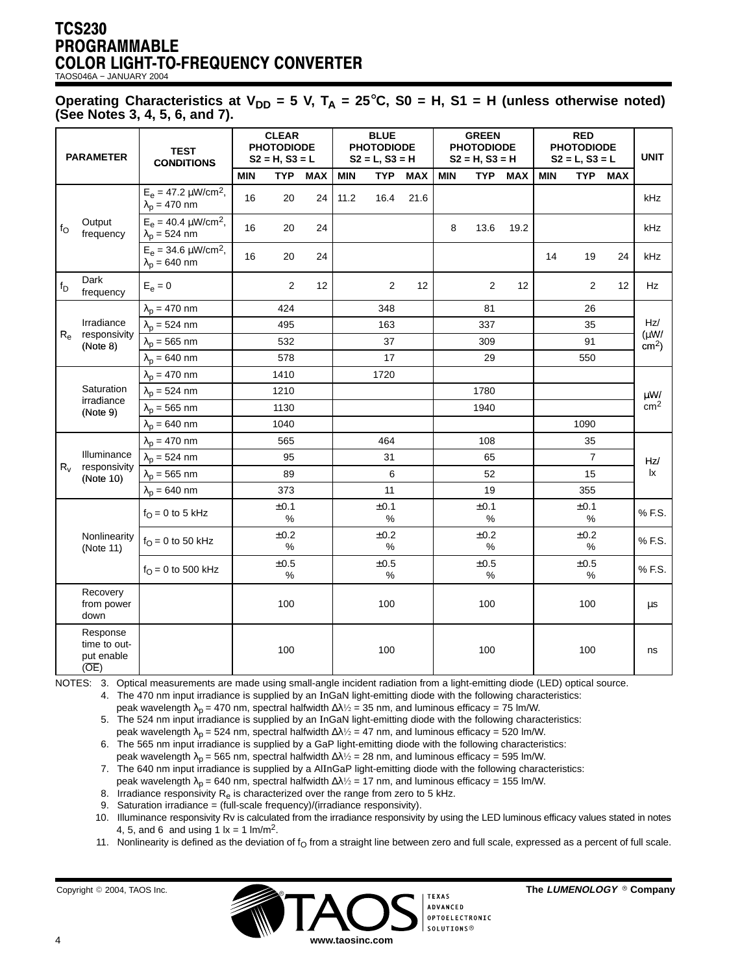TAOS046A − JANUARY 2004

Operating Characteristics at  $V_{DD} = 5$  V,  $T_A = 25^\circ C$ , S0 = H, S1 = H (unless otherwise noted) **(See Notes 3, 4, 5, 6, and 7).**

| <b>PARAMETER</b> |                                                | <b>TEST</b><br><b>CONDITIONS</b>                                | <b>CLEAR</b><br><b>PHOTODIODE</b><br>$S2 = H, S3 = L$ |                   |            | <b>BLUE</b><br><b>PHOTODIODE</b><br>$S2 = L, S3 = H$ |                   |            | <b>GREEN</b><br><b>PHOTODIODE</b><br>$S2 = H, S3 = H$ |                   |            | <b>RED</b><br><b>PHOTODIODE</b><br>$S2 = L, S3 = L$ |                   |            |                        |
|------------------|------------------------------------------------|-----------------------------------------------------------------|-------------------------------------------------------|-------------------|------------|------------------------------------------------------|-------------------|------------|-------------------------------------------------------|-------------------|------------|-----------------------------------------------------|-------------------|------------|------------------------|
|                  |                                                |                                                                 | <b>MIN</b>                                            | <b>TYP</b>        | <b>MAX</b> | <b>MIN</b>                                           | <b>TYP</b>        | <b>MAX</b> | <b>MIN</b>                                            | <b>TYP</b>        | <b>MAX</b> | <b>MIN</b>                                          | <b>TYP</b>        | <b>MAX</b> |                        |
|                  |                                                | $E_e = 47.2 \mu W/cm^2$ ,<br>$\lambda_p = 470$ nm               | 16                                                    | 20                | 24         | 11.2                                                 | 16.4              | 21.6       |                                                       |                   |            |                                                     |                   |            | kHz                    |
| $f_{\rm O}$      | Output<br>frequency                            | $E_e = 40.4 \mu W/cm^2$ ,<br>$\lambda_p = 524$ nm               | 16                                                    | 20                | 24         |                                                      |                   |            | 8                                                     | 13.6              | 19.2       |                                                     |                   |            | kHz                    |
|                  |                                                | $E_e = 34.6 \,\mu\text{W/cm}^2$ ,<br>$\lambda_{\rm D}$ = 640 nm | 16                                                    | 20                | 24         |                                                      |                   |            |                                                       |                   |            | 14                                                  | 19                | 24         | kHz                    |
| $f_D$            | Dark<br>frequency                              | $E_e = 0$                                                       |                                                       | $\overline{2}$    | 12         |                                                      | 2                 | 12         |                                                       | $\overline{2}$    | 12         |                                                     | 2                 | 12         | Hz                     |
|                  |                                                | $\lambda_{\rm p}$ = 470 nm                                      |                                                       | 424               |            |                                                      | 348               |            |                                                       | 81                |            |                                                     | 26                |            |                        |
|                  | Irradiance                                     | $\lambda_{\rm p}$ = 524 nm                                      |                                                       | 495               |            |                                                      | 163               |            |                                                       | 337               |            |                                                     | 35                |            | Hz/<br>(uW/<br>$cm2$ ) |
| $R_{e}$          | responsivity<br>(Note 8)                       | $\lambda_p = 565$ nm                                            |                                                       | 532               |            |                                                      | 37                |            |                                                       | 309               |            |                                                     | 91                |            |                        |
|                  |                                                | $\lambda_p = 640$ nm                                            |                                                       | 578               |            |                                                      | 17                |            |                                                       | 29                |            |                                                     | 550               |            |                        |
|                  | Saturation<br>irradiance<br>(Note 9)           | $\lambda_p = 470$ nm                                            |                                                       | 1410              |            |                                                      | 1720              |            |                                                       |                   |            |                                                     |                   |            |                        |
|                  |                                                | $\lambda_p = 524$ nm                                            |                                                       | 1210              |            |                                                      |                   |            |                                                       | 1780              |            |                                                     |                   |            | $\mu$ W/               |
|                  |                                                | $\lambda_{\text{p}} = 565 \text{ nm}$                           |                                                       | 1130              |            |                                                      |                   |            |                                                       | 1940              |            |                                                     |                   |            | cm <sup>2</sup>        |
|                  |                                                | $\lambda_{\rm p}$ = 640 nm                                      |                                                       | 1040              |            |                                                      |                   |            |                                                       |                   |            |                                                     | 1090              |            |                        |
|                  | Illuminance<br>responsivity<br>(Note 10)       | $\lambda_p = 470$ nm                                            |                                                       | 565               |            |                                                      | 464               |            |                                                       | 108               |            |                                                     | 35                |            |                        |
|                  |                                                | $\lambda_{\rm p}$ = 524 nm                                      |                                                       | 95                |            |                                                      | 31                |            |                                                       | 65                |            |                                                     | $\overline{7}$    |            | Hz/<br>Ιx              |
| $R_v$            |                                                | $\lambda_p = 565$ nm                                            |                                                       | 89                |            |                                                      | 6                 |            |                                                       | 52                |            |                                                     | 15                |            |                        |
|                  |                                                | $\lambda_{\rm D}$ = 640 nm                                      |                                                       | 373               |            |                                                      | 11                |            |                                                       | 19                |            |                                                     | 355               |            |                        |
|                  |                                                | $f_{\text{O}} = 0$ to 5 kHz                                     |                                                       | ±0.1<br>$\%$      |            |                                                      | ±0.1<br>%         |            |                                                       | ±0.1<br>%         |            |                                                     | ±0.1<br>%         |            | % F.S.                 |
|                  | Nonlinearity<br>(Note 11)                      | $f_{\text{O}} = 0$ to 50 kHz                                    |                                                       | $\pm 0.2$<br>$\%$ |            |                                                      | $\pm 0.2$<br>%    |            |                                                       | ±0.2<br>%         |            |                                                     | ±0.2<br>$\%$      |            | % F.S.                 |
|                  |                                                | $f_{\Omega} = 0$ to 500 kHz                                     |                                                       | $\pm 0.5$<br>$\%$ |            |                                                      | $\pm 0.5$<br>$\%$ |            |                                                       | $\pm 0.5$<br>$\%$ |            |                                                     | $\pm 0.5$<br>$\%$ |            | % F.S.                 |
|                  | Recovery<br>from power<br>down                 |                                                                 |                                                       | 100               |            |                                                      | 100               |            |                                                       | 100               |            |                                                     | 100               |            | μs                     |
|                  | Response<br>time to out-<br>put enable<br>(OE) |                                                                 |                                                       | 100               |            |                                                      | 100               |            |                                                       | 100               |            |                                                     | 100               |            | ns                     |

NOTES: 3. Optical measurements are made using small-angle incident radiation from a light-emitting diode (LED) optical source.

4. The 470 nm input irradiance is supplied by an InGaN light-emitting diode with the following characteristics:

peak wavelength  $\lambda_p = 470$  nm, spectral halfwidth  $\Delta\lambda/2 = 35$  nm, and luminous efficacy = 75 lm/W.

5. The 524 nm input irradiance is supplied by an InGaN light-emitting diode with the following characteristics: peak wavelength  $\lambda_p = 524$  nm, spectral halfwidth  $\Delta\lambda^{1/2} = 47$  nm, and luminous efficacy = 520 lm/W.

6. The 565 nm input irradiance is supplied by a GaP light-emitting diode with the following characteristics:

peak wavelength  $\lambda_p$  = 565 nm, spectral halfwidth  $\Delta\lambda\frac{1}{2}$  = 28 nm, and luminous efficacy = 595 lm/W.

7. The 640 nm input irradiance is supplied by a AlInGaP light-emitting diode with the following characteristics:

peak wavelength  $\lambda_{p}$  = 640 nm, spectral halfwidth  $\Delta\lambda/2$  = 17 nm, and luminous efficacy = 155 lm/W.

8. Irradiance responsivity  $R_e$  is characterized over the range from zero to 5 kHz. 9. Saturation irradiance = (full-scale frequency)/(irradiance responsivity).

10. Illuminance responsivity Rv is calculated from the irradiance responsivity by using the LED luminous efficacy values stated in notes 4, 5, and 6 and using 1  $1x = 1$  lm/m<sup>2</sup>.

11. Nonlinearity is defined as the deviation of  $f<sub>O</sub>$  from a straight line between zero and full scale, expressed as a percent of full scale.

Copyright © 2004, TAOS Inc.



2004, TAOS Inc. **The LUMENOLOGY Company**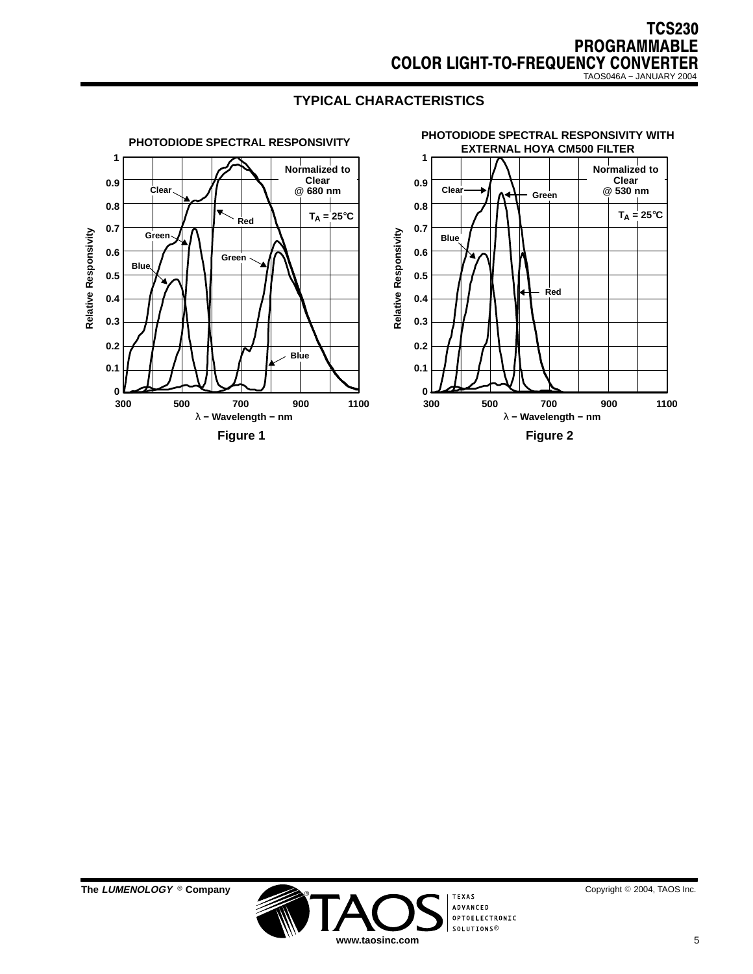

# **TYPICAL CHARACTERISTICS**



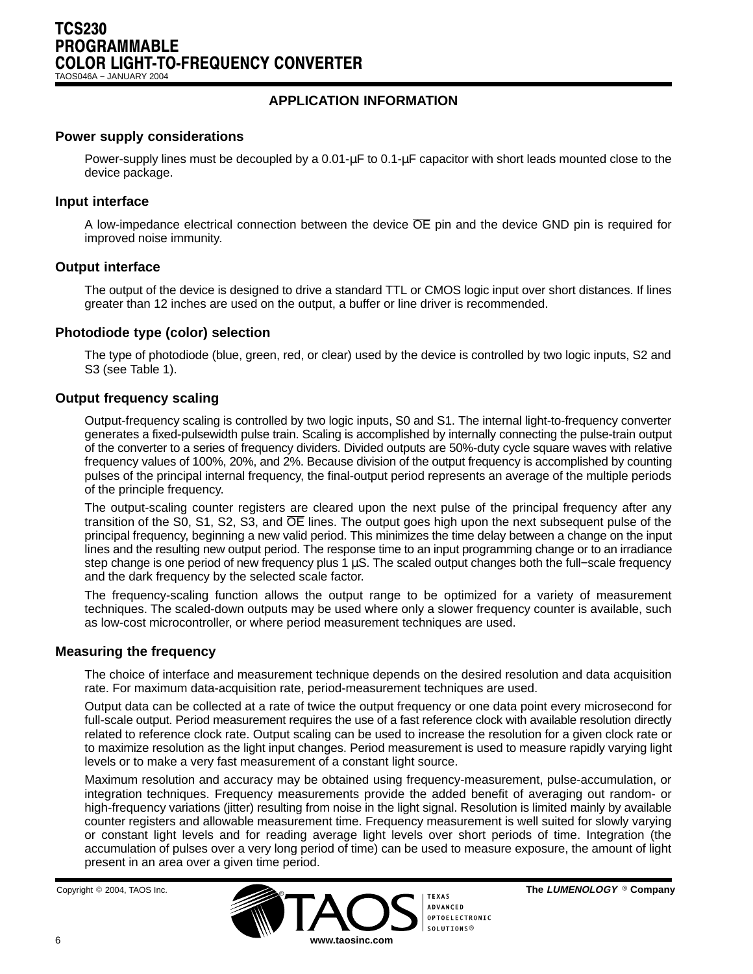TAOS046A − JANUARY 2004

# **APPLICATION INFORMATION**

### **Power supply considerations**

Power-supply lines must be decoupled by a 0.01-µF to 0.1-µF capacitor with short leads mounted close to the device package.

#### **Input interface**

A low-impedance electrical connection between the device OE pin and the device GND pin is required for improved noise immunity.

#### **Output interface**

The output of the device is designed to drive a standard TTL or CMOS logic input over short distances. If lines greater than 12 inches are used on the output, a buffer or line driver is recommended.

#### **Photodiode type (color) selection**

The type of photodiode (blue, green, red, or clear) used by the device is controlled by two logic inputs, S2 and S3 (see Table 1).

#### **Output frequency scaling**

Output-frequency scaling is controlled by two logic inputs, S0 and S1. The internal light-to-frequency converter generates a fixed-pulsewidth pulse train. Scaling is accomplished by internally connecting the pulse-train output of the converter to a series of frequency dividers. Divided outputs are 50%-duty cycle square waves with relative frequency values of 100%, 20%, and 2%. Because division of the output frequency is accomplished by counting pulses of the principal internal frequency, the final-output period represents an average of the multiple periods of the principle frequency.

The output-scaling counter registers are cleared upon the next pulse of the principal frequency after any transition of the S0, S1, S2, S3, and OE lines. The output goes high upon the next subsequent pulse of the principal frequency, beginning a new valid period. This minimizes the time delay between a change on the input lines and the resulting new output period. The response time to an input programming change or to an irradiance step change is one period of new frequency plus 1 µS. The scaled output changes both the full–scale frequency and the dark frequency by the selected scale factor.

The frequency-scaling function allows the output range to be optimized for a variety of measurement techniques. The scaled-down outputs may be used where only a slower frequency counter is available, such as low-cost microcontroller, or where period measurement techniques are used.

#### **Measuring the frequency**

The choice of interface and measurement technique depends on the desired resolution and data acquisition rate. For maximum data-acquisition rate, period-measurement techniques are used.

Output data can be collected at a rate of twice the output frequency or one data point every microsecond for full-scale output. Period measurement requires the use of a fast reference clock with available resolution directly related to reference clock rate. Output scaling can be used to increase the resolution for a given clock rate or to maximize resolution as the light input changes. Period measurement is used to measure rapidly varying light levels or to make a very fast measurement of a constant light source.

Maximum resolution and accuracy may be obtained using frequency-measurement, pulse-accumulation, or integration techniques. Frequency measurements provide the added benefit of averaging out random- or high-frequency variations (jitter) resulting from noise in the light signal. Resolution is limited mainly by available counter registers and allowable measurement time. Frequency measurement is well suited for slowly varying or constant light levels and for reading average light levels over short periods of time. Integration (the accumulation of pulses over a very long period of time) can be used to measure exposure, the amount of light present in an area over a given time period.

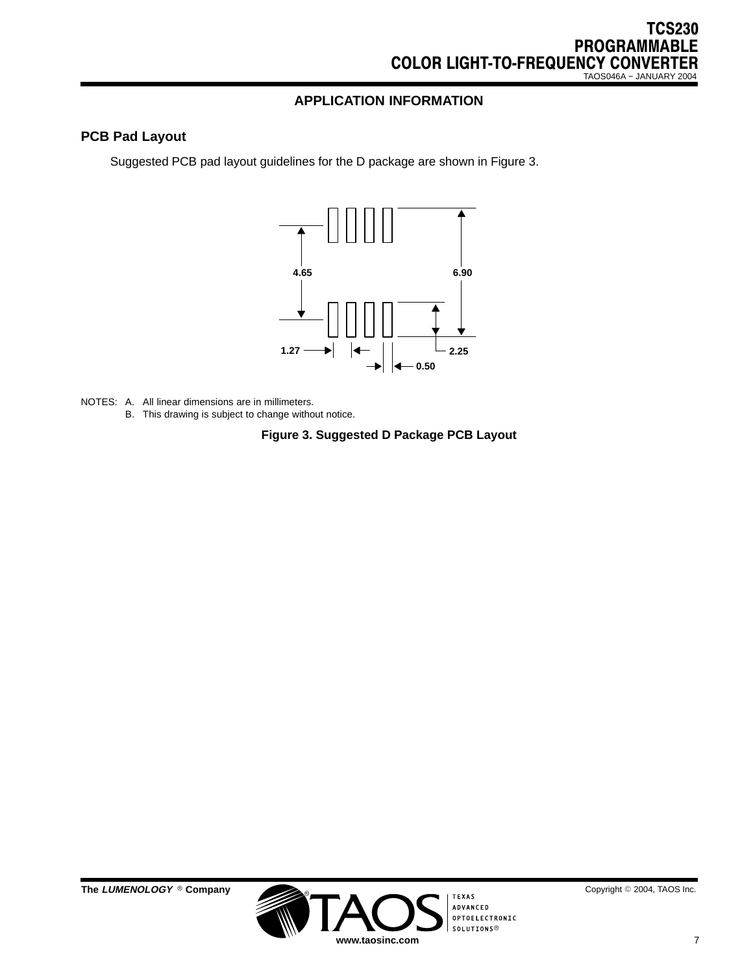# **APPLICATION INFORMATION**

# **PCB Pad Layout**

Suggested PCB pad layout guidelines for the D package are shown in Figure 3.



- NOTES: A. All linear dimensions are in millimeters.
	- B. This drawing is subject to change without notice.

#### **Figure 3. Suggested D Package PCB Layout**



 $^{\circ}$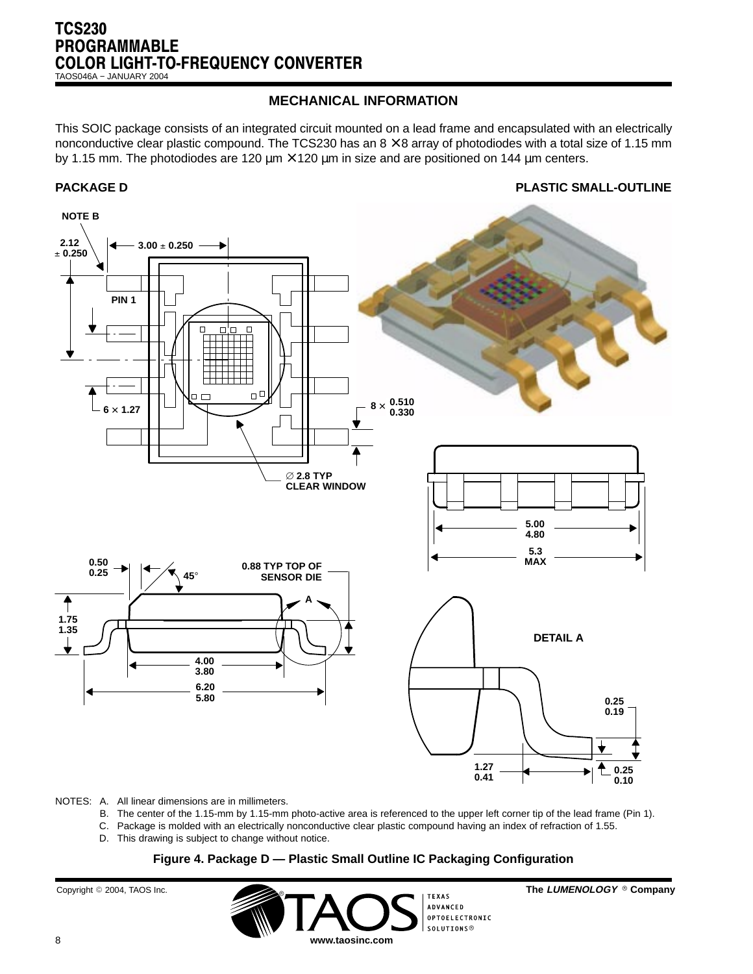TAOS046A − JANUARY 2004

# **MECHANICAL INFORMATION**

This SOIC package consists of an integrated circuit mounted on a lead frame and encapsulated with an electrically nonconductive clear plastic compound. The TCS230 has an  $8 \times 8$  array of photodiodes with a total size of 1.15 mm by 1.15 mm. The photodiodes are 120  $\mu$ m  $\times$  120  $\mu$ m in size and are positioned on 144  $\mu$ m centers.

**PACKAGE D PLASTIC SMALL-OUTLINE**



#### NOTES: A. All linear dimensions are in millimeters.

- B. The center of the 1.15-mm by 1.15-mm photo-active area is referenced to the upper left corner tip of the lead frame (Pin 1).
- C. Package is molded with an electrically nonconductive clear plastic compound having an index of refraction of 1.55.
- D. This drawing is subject to change without notice.

#### **Figure 4. Package D — Plastic Small Outline IC Packaging Configuration**

Copyright © 2004, TAOS Inc.



2004, TAOS Inc. **The LUMENOLOGY Company**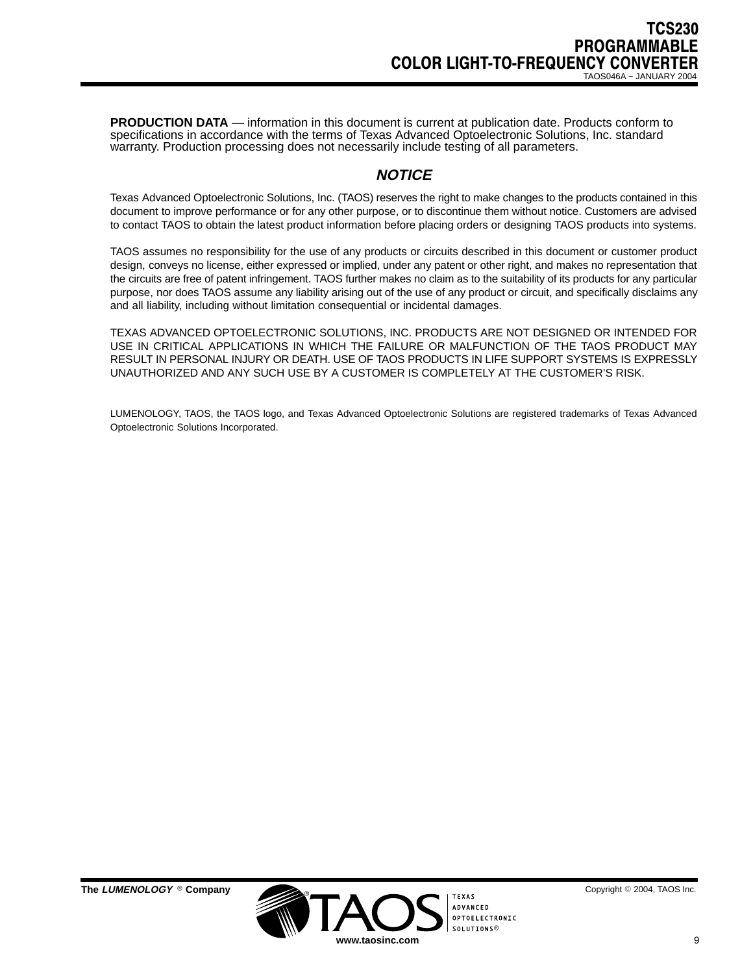**PRODUCTION DATA** — information in this document is current at publication date. Products conform to specifications in accordance with the terms of Texas Advanced Optoelectronic Solutions, Inc. standard warranty. Production processing does not necessarily include testing of all parameters.

# **NOTICE**

Texas Advanced Optoelectronic Solutions, Inc. (TAOS) reserves the right to make changes to the products contained in this document to improve performance or for any other purpose, or to discontinue them without notice. Customers are advised to contact TAOS to obtain the latest product information before placing orders or designing TAOS products into systems.

TAOS assumes no responsibility for the use of any products or circuits described in this document or customer product design, conveys no license, either expressed or implied, under any patent or other right, and makes no representation that the circuits are free of patent infringement. TAOS further makes no claim as to the suitability of its products for any particular purpose, nor does TAOS assume any liability arising out of the use of any product or circuit, and specifically disclaims any and all liability, including without limitation consequential or incidental damages.

TEXAS ADVANCED OPTOELECTRONIC SOLUTIONS, INC. PRODUCTS ARE NOT DESIGNED OR INTENDED FOR USE IN CRITICAL APPLICATIONS IN WHICH THE FAILURE OR MALFUNCTION OF THE TAOS PRODUCT MAY RESULT IN PERSONAL INJURY OR DEATH. USE OF TAOS PRODUCTS IN LIFE SUPPORT SYSTEMS IS EXPRESSLY UNAUTHORIZED AND ANY SUCH USE BY A CUSTOMER IS COMPLETELY AT THE CUSTOMER'S RISK.

LUMENOLOGY, TAOS, the TAOS logo, and Texas Advanced Optoelectronic Solutions are registered trademarks of Texas Advanced Optoelectronic Solutions Incorporated.